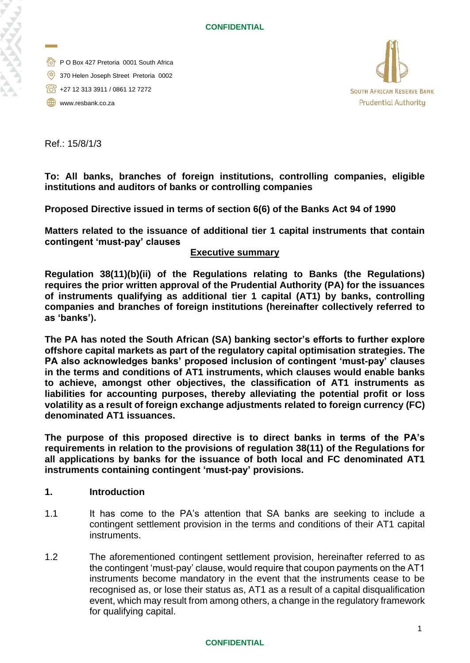- **P O Box 427 Pretoria 0001 South Africa**
- 370 Helen Joseph Street Pretoria 0002
- +27 12 313 3911 / 0861 12 7272
- www.resbank.co.za



Ref.: 15/8/1/3

**To: All banks, branches of foreign institutions, controlling companies, eligible institutions and auditors of banks or controlling companies**

**Proposed Directive issued in terms of section 6(6) of the Banks Act 94 of 1990**

**Matters related to the issuance of additional tier 1 capital instruments that contain contingent 'must-pay' clauses** 

# **Executive summary**

**Regulation 38(11)(b)(ii) of the Regulations relating to Banks (the Regulations) requires the prior written approval of the Prudential Authority (PA) for the issuances of instruments qualifying as additional tier 1 capital (AT1) by banks, controlling companies and branches of foreign institutions (hereinafter collectively referred to as 'banks').**

**The PA has noted the South African (SA) banking sector's efforts to further explore offshore capital markets as part of the regulatory capital optimisation strategies. The PA also acknowledges banks' proposed inclusion of contingent 'must-pay' clauses in the terms and conditions of AT1 instruments, which clauses would enable banks to achieve, amongst other objectives, the classification of AT1 instruments as liabilities for accounting purposes, thereby alleviating the potential profit or loss volatility as a result of foreign exchange adjustments related to foreign currency (FC) denominated AT1 issuances.** 

**The purpose of this proposed directive is to direct banks in terms of the PA's requirements in relation to the provisions of regulation 38(11) of the Regulations for all applications by banks for the issuance of both local and FC denominated AT1 instruments containing contingent 'must-pay' provisions.** 

### **1. Introduction**

- 1.1 It has come to the PA's attention that SA banks are seeking to include a contingent settlement provision in the terms and conditions of their AT1 capital instruments.
- 1.2 The aforementioned contingent settlement provision, hereinafter referred to as the contingent 'must-pay' clause, would require that coupon payments on the AT1 instruments become mandatory in the event that the instruments cease to be recognised as, or lose their status as, AT1 as a result of a capital disqualification event, which may result from among others, a change in the regulatory framework for qualifying capital.

### **CONFIDENTIAL**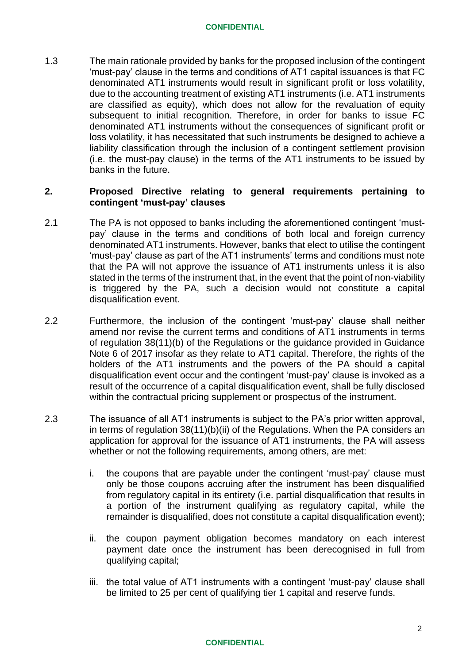#### **CONFIDENTIAL**

1.3 The main rationale provided by banks for the proposed inclusion of the contingent 'must-pay' clause in the terms and conditions of AT1 capital issuances is that FC denominated AT1 instruments would result in significant profit or loss volatility, due to the accounting treatment of existing AT1 instruments (i.e. AT1 instruments are classified as equity), which does not allow for the revaluation of equity subsequent to initial recognition. Therefore, in order for banks to issue FC denominated AT1 instruments without the consequences of significant profit or loss volatility, it has necessitated that such instruments be designed to achieve a liability classification through the inclusion of a contingent settlement provision (i.e. the must-pay clause) in the terms of the AT1 instruments to be issued by banks in the future.

# **2. Proposed Directive relating to general requirements pertaining to contingent 'must-pay' clauses**

- 2.1 The PA is not opposed to banks including the aforementioned contingent 'mustpay' clause in the terms and conditions of both local and foreign currency denominated AT1 instruments. However, banks that elect to utilise the contingent 'must-pay' clause as part of the AT1 instruments' terms and conditions must note that the PA will not approve the issuance of AT1 instruments unless it is also stated in the terms of the instrument that, in the event that the point of non-viability is triggered by the PA, such a decision would not constitute a capital disqualification event.
- 2.2 Furthermore, the inclusion of the contingent 'must-pay' clause shall neither amend nor revise the current terms and conditions of AT1 instruments in terms of regulation 38(11)(b) of the Regulations or the guidance provided in Guidance Note 6 of 2017 insofar as they relate to AT1 capital. Therefore, the rights of the holders of the AT1 instruments and the powers of the PA should a capital disqualification event occur and the contingent 'must-pay' clause is invoked as a result of the occurrence of a capital disqualification event, shall be fully disclosed within the contractual pricing supplement or prospectus of the instrument.
- 2.3 The issuance of all AT1 instruments is subject to the PA's prior written approval, in terms of regulation 38(11)(b)(ii) of the Regulations. When the PA considers an application for approval for the issuance of AT1 instruments, the PA will assess whether or not the following requirements, among others, are met:
	- i. the coupons that are payable under the contingent 'must-pay' clause must only be those coupons accruing after the instrument has been disqualified from regulatory capital in its entirety (i.e. partial disqualification that results in a portion of the instrument qualifying as regulatory capital, while the remainder is disqualified, does not constitute a capital disqualification event);
	- ii. the coupon payment obligation becomes mandatory on each interest payment date once the instrument has been derecognised in full from qualifying capital;
	- iii. the total value of AT1 instruments with a contingent 'must-pay' clause shall be limited to 25 per cent of qualifying tier 1 capital and reserve funds.

### **CONFIDENTIAL**